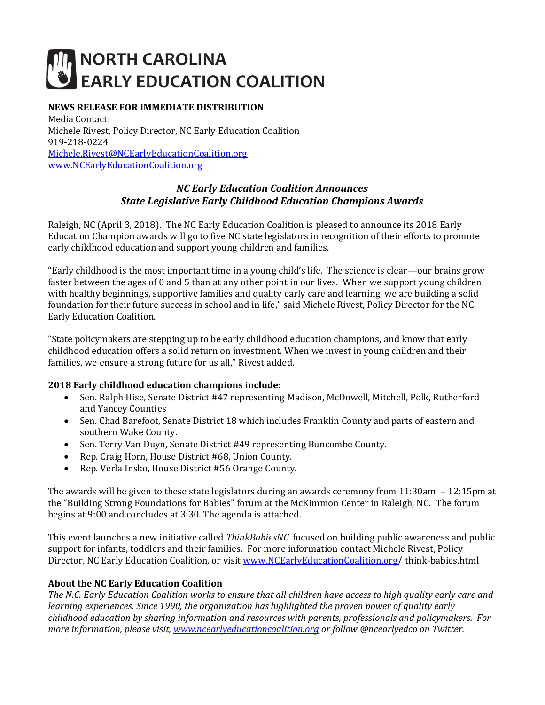# **NORTH CAROLINA EARLY EDUCATION COALITION**

### **NEWS RELEASE FOR IMMEDIATE DISTRIBUTION**

Media Contact: Michele Rivest, Policy Director, NC Early Education Coalition 919-218-0224 [Michele.Rivest@NCEarlyEducationCoalition.org](mailto:Michele.Rivest@NCEarlyEducationCoalition.org) [www.NCEarlyEducationCoalition.org](http://www.ncearlyeducationcoalition.org/)

#### *NC Early Education Coalition Announces State Legislative Early Childhood Education Champions Awards*

Raleigh, NC (April 3, 2018). The NC Early Education Coalition is pleased to announce its 2018 Early Education Champion awards will go to five NC state legislators in recognition of their efforts to promote early childhood education and support young children and families.

"Early childhood is the most important time in a young child's life. The science is clear—our brains grow faster between the ages of 0 and 5 than at any other point in our lives. When we support young children with healthy beginnings, supportive families and quality early care and learning, we are building a solid foundation for their future success in school and in life," said Michele Rivest, Policy Director for the NC Early Education Coalition.

"State policymakers are stepping up to be early childhood education champions, and know that early childhood education offers a solid return on investment. When we invest in young children and their families, we ensure a strong future for us all," Rivest added.

#### **2018 Early childhood education champions include:**

- Sen. Ralph Hise, Senate District #47 representing Madison, McDowell, Mitchell, Polk, Rutherford and Yancey Counties
- Sen. Chad Barefoot, Senate District 18 which includes Franklin County and parts of eastern and southern Wake County.
- Sen. Terry Van Duyn, Senate District #49 representing Buncombe County.
- Rep. Craig Horn, House District #68, Union County.
- Rep. Verla Insko, House District #56 Orange County.

The awards will be given to these state legislators during an awards ceremony from 11:30am – 12:15pm at the "Building Strong Foundations for Babies" forum at the McKimmon Center in Raleigh, NC. The forum begins at 9:00 and concludes at 3:30. The agenda is attached.

This event launches a new initiative called *ThinkBabiesNC* focused on building public awareness and public support for infants, toddlers and their families. For more information contact Michele Rivest, Policy Director, NC Early Education Coalition, or visit [www.NCEarlyEducationCoalition.org/](http://www.ncearlyeducationcoalition.org/)think-babies.html

#### **About the NC Early Education Coalition**

*The N.C. Early Education Coalition works to ensure that all children have access to high quality early care and learning experiences. Since 1990, the organization has highlighted the proven power of quality early childhood education by sharing information and resources with parents, professionals and policymakers. For more information, please visit[, www.ncearlyeducationcoalition.org](http://www.ncearlyeducationcoalition.org/) or follow @ncearlyedco on Twitter.*